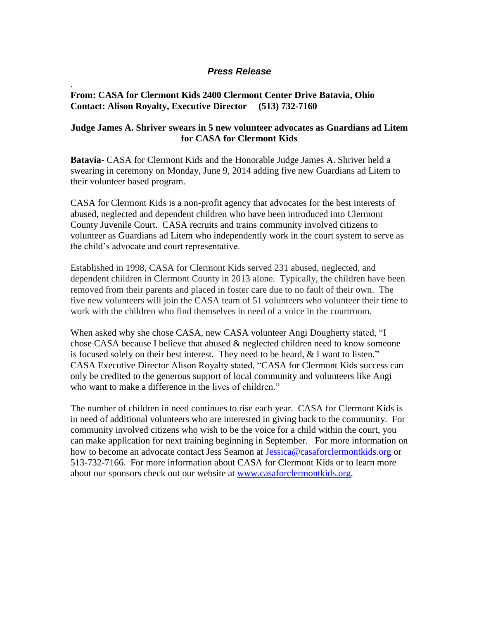## *Press Release*

## **From: CASA for Clermont Kids 2400 Clermont Center Drive Batavia, Ohio Contact: Alison Royalty, Executive Director (513) 732-7160**

.

## **Judge James A. Shriver swears in 5 new volunteer advocates as Guardians ad Litem for CASA for Clermont Kids**

**Batavia-** CASA for Clermont Kids and the Honorable Judge James A. Shriver held a swearing in ceremony on Monday, June 9, 2014 adding five new Guardians ad Litem to their volunteer based program.

CASA for Clermont Kids is a non-profit agency that advocates for the best interests of abused, neglected and dependent children who have been introduced into Clermont County Juvenile Court. CASA recruits and trains community involved citizens to volunteer as Guardians ad Litem who independently work in the court system to serve as the child's advocate and court representative.

Established in 1998, CASA for Clermont Kids served 231 abused, neglected, and dependent children in Clermont County in 2013 alone. Typically, the children have been removed from their parents and placed in foster care due to no fault of their own. The five new volunteers will join the CASA team of 51 volunteers who volunteer their time to work with the children who find themselves in need of a voice in the courtroom.

When asked why she chose CASA, new CASA volunteer Angi Dougherty stated, "I chose CASA because I believe that abused & neglected children need to know someone is focused solely on their best interest. They need to be heard, & I want to listen." CASA Executive Director Alison Royalty stated, "CASA for Clermont Kids success can only be credited to the generous support of local community and volunteers like Angi who want to make a difference in the lives of children."

The number of children in need continues to rise each year. CASA for Clermont Kids is in need of additional volunteers who are interested in giving back to the community. For community involved citizens who wish to be the voice for a child within the court, you can make application for next training beginning in September. For more information on how to become an advocate contact Jess Seamon at [Jessica@casaforclermontkids.org](mailto:Jessica@casaforclermontkids.org) or 513-732-7166. For more information about CASA for Clermont Kids or to learn more about our sponsors check out our website at [www.casaforclermontkids.org.](http://www.casaforclermontkids.org/)